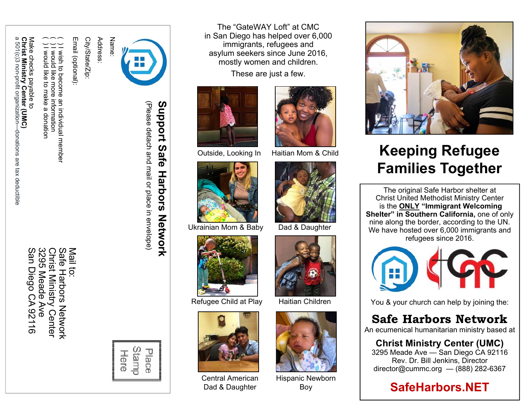a 501(c)3 non-profit organizatio ດ **Christ Ministry Center (UMC)**  Make checks payable to Make c hrist  $1(c)3$ Ministry hecks payable to i**nistry Center (UMC)**<br>non-profit organization– n—donations are tax deductible -donations are tax deductible

San Diego CA 92116 San Diego CA 92116 3295 Meade Ave

Safe Christ Ministry Center<br>3295 Meade Ave Christ Ministry Center Safe Harbors Network Mail to: **Harbors Network** 

( ) I wish to become

( ) I would like to make a donation ( ) I would like more information

ه

donatior

高夜 more ಕ mal సై

an individual member

wish to become an individual member

information

Email (optional): City/State/Zip:

Email (optional):

City/State/Zip:

Address:



# **Support Safe Harbors Network**  Support  $\boldsymbol{\omega}$ **afe Harbors** Network

(Please detach and mail or place in envelope) (Please detach and mail or place in envelope)



The "GateWAY Loft" at CMC in San Diego has helped over 6,000 immigrants, refugees and asylum seekers since June 2016, mostly women and children.

These are just a few.



Outside, Looking In Haitian Mom & Child



Ukrainian Mom & Baby Dad & Daughter



Refugee Child at Play



Central American Dad & Daughter







Haitian Children



Hispanic Newborn Boy



## **Keeping Refugee Families Together**

The original Safe Harbor shelter at Christ United Methodist Ministry Center is the **ONLY "Immigrant Welcoming Shelter" in Southern California,** one of only nine along the border, according to the UN. We have hosted over 6,000 immigrants and refugees since 2016.



You & your church can help by joining the:

### **Safe Harbors Network**

An ecumenical humanitarian ministry based at

### **Christ Ministry Center (UMC)**

3295 Meade Ave — San Diego CA 92116 Rev. Dr. Bill Jenkins, Director director@cummc.org — (888) 282-6367

### **SafeHarbors.NET**